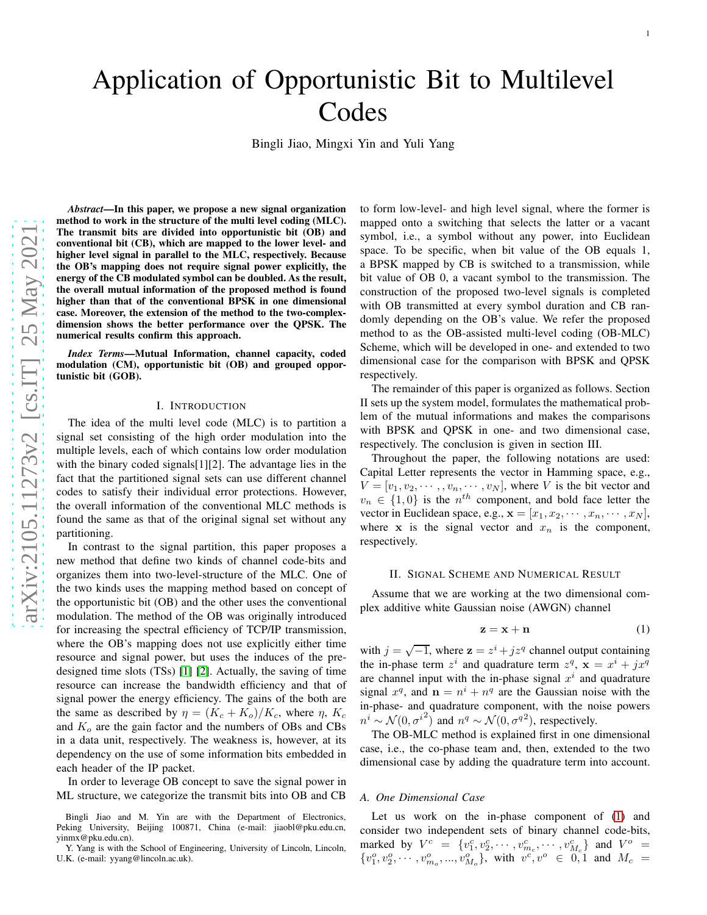# Application of Opportunistic Bit to Multilevel Codes

Bingli Jiao, Mingxi Yin and Yuli Yang

arXiv:2105.11273v2 [cs.IT] 25 May 2021 [arXiv:2105.11273v2 \[cs.IT\] 25 May 2021](http://arxiv.org/abs/2105.11273v2)

*Abstract*—In this paper, we propose a new signal organization method to work in the structure of the multi level coding (MLC). The transmit bits are divided into opportunistic bit (OB) an d conventional bit (CB), which are mapped to the lower level- and higher level signal in parallel to the MLC, respectively. Because the OB's mapping does not require signal power explicitly, the energy of the CB modulated symbol can be doubled. As the result, the overall mutual information of the proposed method is found higher than that of the conventional BPSK in one dimensional case. Moreover, the extension of the method to the two-complexdimension shows the better performance over the QPSK. The numerical results confirm this approach.

*Index Terms*—Mutual Information, channel capacity, coded modulation (CM), opportunistic bit (OB) and grouped opportunistic bit (GOB).

## I. INTRODUCTION

The idea of the multi level code (MLC) is to partition a signal set consisting of the high order modulation into the multiple levels, each of which contains low order modulatio n with the binary coded signals[1][2]. The advantage lies in the fact that the partitioned signal sets can use different channel codes to satisfy their individual error protections. However, the overall information of the conventional MLC methods is found the same as that of the original signal set without any partitioning.

In contrast to the signal partition, this paper proposes a new method that define two kinds of channel code-bits and organizes them into two-level-structure of the MLC. One of the two kinds uses the mapping method based on concept of the opportunistic bit (OB) and the other uses the conventional modulation. The method of the OB was originally introduced for increasing the spectral efficiency of TCP/IP transmission, where the OB's mapping does not use explicitly either time resource and signal power, but uses the induces of the predesigned time slots (TSs) [\[1\]](#page-4-0) [\[2\]](#page-4-1). Actually, the saving of time resource can increase the bandwidth efficiency and that of signal power the energy efficiency. The gains of the both are the same as described by  $\eta = (K_c + K_o)/K_c$ , where  $\eta$ ,  $K_c$ and  $K<sub>o</sub>$  are the gain factor and the numbers of OBs and CBs in a data unit, respectively. The weakness is, however, at it s dependency on the use of some information bits embedded in each header of the IP packet.

In order to leverage OB concept to save the signal power in ML structure, we categorize the transmit bits into OB and CB

Bingli Jiao and M. Yin are with the Department of Electronics , Peking University, Beijing 100871, China (e-mail: jiaobl@pku.edu.cn, yinmx@pku.edu.cn).

Y. Yang is with the School of Engineering, University of Lincoln, Lincoln, U.K. (e-mail: yyang@lincoln.ac.uk).

to form low-level- and high level signal, where the former is mapped onto a switching that selects the latter or a vacant symbol, i.e., a symbol without any power, into Euclidean space. To be specific, when bit value of the OB equals 1, a BPSK mapped by CB is switched to a transmission, while bit value of OB 0, a vacant symbol to the transmission. The construction of the proposed two-level signals is complete d with OB transmitted at every symbol duration and CB randomly depending on the OB's value. We refer the proposed method to as the OB-assisted multi-level coding (OB-MLC) Scheme, which will be developed in one- and extended to two dimensional case for the comparison with BPSK and QPSK respectively.

The remainder of this paper is organized as follows. Section II sets up the system model, formulates the mathematical problem of the mutual informations and makes the comparisons with BPSK and QPSK in one- and two dimensional case, respectively. The conclusion is given in section III.

Throughout the paper, the following notations are used: Capital Letter represents the vector in Hamming space, e.g. ,  $V = [v_1, v_2, \dots, v_n, \dots, v_N]$ , where V is the bit vector and  $v_n \in \{1,0\}$  is the  $n^{th}$  component, and bold face letter the vector in Euclidean space, e.g.,  $\mathbf{x} = [x_1, x_2, \cdots, x_n, \cdots, x_N]$ , where x is the signal vector and  $x_n$  is the component, respectively.

## II. SIGNAL SCHEME AND NUMERICAL RESULT

Assume that we are working at the two dimensional complex additive white Gaussian noise (AWGN) channel

<span id="page-0-0"></span>
$$
z = x + n \tag{1}
$$

with  $j = \sqrt{-1}$ , where  $\mathbf{z} = z^i + jz^q$  channel output containing the in-phase term  $z^i$  and quadrature term  $z^q$ ,  $\mathbf{x} = x^i + jx^q$ are channel input with the in-phase signal  $x^i$  and quadrature signal  $x^q$ , and  $\mathbf{n} = n^i + n^q$  are the Gaussian noise with the in-phase- and quadrature component, with the noise powers  $n^i \sim \mathcal{N}(0, {\sigma^i}^2)$  and  $n^q \sim \mathcal{N}(0, {\sigma^q}^2)$ , respectively.

The OB-MLC method is explained first in one dimensional case, i.e., the co-phase team and, then, extended to the two dimensional case by adding the quadrature term into account .

#### *A. One Dimensional Case*

Let us work on the in-phase component of  $(1)$  and consider two independent sets of binary channel code-bits, marked by  $V^c = \{v_1^c, v_2^c, \cdots, v_{m_c}^c, \cdots, v_{M_c}^c\}$  and  $V^o$  =  $\{v_1^o, v_2^o, \cdots, v_{m_o}^o, ..., v_{M_o}^o\}$ , with  $v^c, v^o \in 0, 1$  and  $M_c =$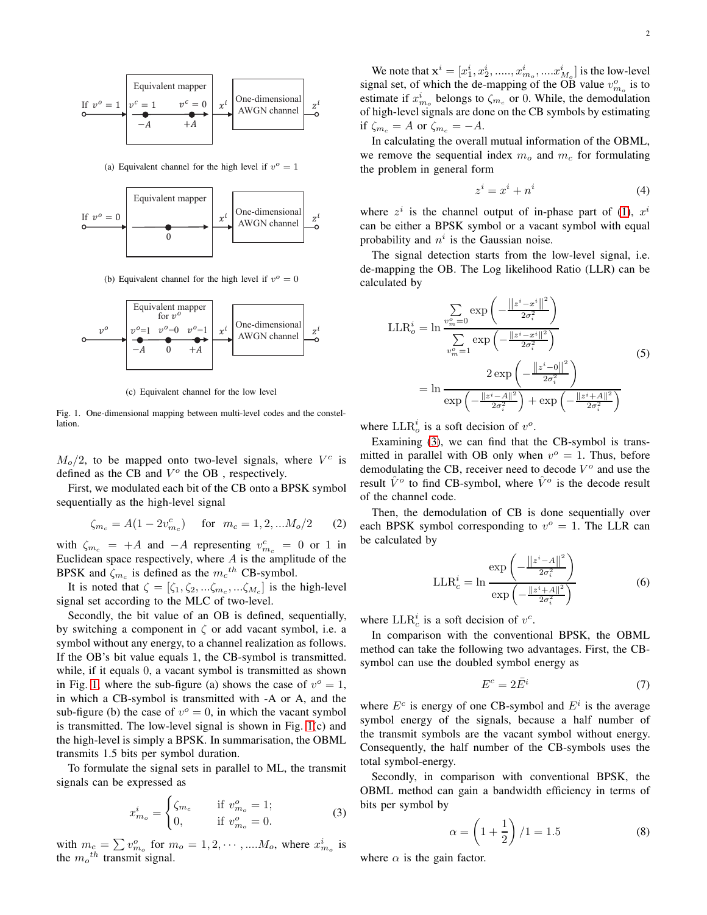

(a) Equivalent channel for the high level if  $v^{\circ} = 1$ 



(b) Equivalent channel for the high level if  $v^{\circ} = 0$ 



(c) Equivalent channel for the low level

<span id="page-1-0"></span>Fig. 1. One-dimensional mapping between multi-level codes and the constellation.

 $M_o/2$ , to be mapped onto two-level signals, where  $V^c$  is defined as the CB and  $V^o$  the OB, respectively.

First, we modulated each bit of the CB onto a BPSK symbol sequentially as the high-level signal

$$
\zeta_{m_c} = A(1 - 2v_{m_c}^c) \quad \text{for} \quad m_c = 1, 2, \dots M_o/2 \qquad (2)
$$

with  $\zeta_{m_c}$  = +A and −A representing  $v_{m_c}^c$  = 0 or 1 in Euclidean space respectively, where  $A$  is the amplitude of the BPSK and  $\zeta_{m_c}$  is defined as the  $m_c^{th}$  CB-symbol.

It is noted that  $\zeta = [\zeta_1, \zeta_2, \dots, \zeta_{m_c}, \dots, \zeta_{M_c}]$  is the high-level signal set according to the MLC of two-level.

Secondly, the bit value of an OB is defined, sequentially, by switching a component in  $\zeta$  or add vacant symbol, i.e. a symbol without any energy, to a channel realization as follows. If the OB's bit value equals 1, the CB-symbol is transmitted. while, if it equals 0, a vacant symbol is transmitted as shown in Fig. [1,](#page-1-0) where the sub-figure (a) shows the case of  $v^{\circ} = 1$ , in which a CB-symbol is transmitted with -A or A, and the sub-figure (b) the case of  $v^{\circ} = 0$ , in which the vacant symbol is transmitted. The low-level signal is shown in Fig. [1\(](#page-1-0)c) and the high-level is simply a BPSK. In summarisation, the OBML transmits 1.5 bits per symbol duration.

To formulate the signal sets in parallel to ML, the transmit signals can be expressed as

<span id="page-1-1"></span>
$$
x_{m_o}^i = \begin{cases} \zeta_{m_c} & \text{if } v_{m_o}^o = 1; \\ 0, & \text{if } v_{m_o}^o = 0. \end{cases}
$$
 (3)

with  $m_c = \sum v_{m_o}^o$  for  $m_o = 1, 2, \cdots, \dots M_o$ , where  $x_{m_o}^i$  is the  $m_o$ <sup>th</sup> transmit signal.

We note that  $x^{i} = [x_{1}^{i}, x_{2}^{i}, \dots, x_{m_{o}}^{i}, \dots x_{M_{o}}^{i}]$  is the low-level signal set, of which the de-mapping of the OB value  $v_{m_o}^o$  is to estimate if  $x_{m_o}^i$  belongs to  $\zeta_{m_o}$  or 0. While, the demodulation of high-level signals are done on the CB symbols by estimating if  $\zeta_{m_c} = A$  or  $\zeta_{m_c} = -A$ .

In calculating the overall mutual information of the OBML, we remove the sequential index  $m<sub>o</sub>$  and  $m<sub>c</sub>$  for formulating the problem in general form

<span id="page-1-3"></span>
$$
z^i = x^i + n^i \tag{4}
$$

where  $z^i$  is the channel output of in-phase part of [\(1\)](#page-0-0),  $x^i$ can be either a BPSK symbol or a vacant symbol with equal probability and  $n<sup>i</sup>$  is the Gaussian noise.

The signal detection starts from the low-level signal, i.e. de-mapping the OB. The Log likelihood Ratio (LLR) can be calculated by

$$
\text{LLR}_{o}^{i} = \ln \frac{\sum_{v_{m}^{o}=0}^{\infty} \exp \left(-\frac{\|z^{i}-x^{i}\|^{2}}{2\sigma_{i}^{2}}\right)}{\sum_{v_{m}^{o}=1}^{\infty} \exp \left(-\frac{\|z^{i}-x^{i}\|^{2}}{2\sigma_{i}^{2}}\right)}
$$
\n
$$
= \ln \frac{2 \exp \left(-\frac{\|z^{i}-0\|^{2}}{2\sigma_{i}^{2}}\right)}{\exp \left(-\frac{\|z^{i}-A\|^{2}}{2\sigma_{i}^{2}}\right) + \exp \left(-\frac{\|z^{i}+A\|^{2}}{2\sigma_{i}^{2}}\right)}
$$
\n(5)

where  $LLR_o^i$  is a soft decision of  $v^o$ .

Examining [\(3\)](#page-1-1), we can find that the CB-symbol is transmitted in parallel with OB only when  $v^{\circ} = 1$ . Thus, before demodulating the CB, receiver need to decode  $V^o$  and use the result  $\hat{V}^o$  to find CB-symbol, where  $\hat{V}^o$  is the decode result of the channel code.

Then, the demodulation of CB is done sequentially over each BPSK symbol corresponding to  $v^{\circ} = 1$ . The LLR can be calculated by

$$
\text{LLR}_{c}^{i} = \ln \frac{\exp\left(-\frac{\left\|z^{i}-A\right\|^{2}}{2\sigma_{i}^{2}}\right)}{\exp\left(-\frac{\left\|z^{i}+A\right\|^{2}}{2\sigma_{i}^{2}}\right)}
$$
(6)

where  $LLR_c^i$  is a soft decision of  $v^c$ .

In comparison with the conventional BPSK, the OBML method can take the following two advantages. First, the CBsymbol can use the doubled symbol energy as

$$
E^c = 2\bar{E}^i \tag{7}
$$

where  $E^c$  is energy of one CB-symbol and  $E^i$  is the average symbol energy of the signals, because a half number of the transmit symbols are the vacant symbol without energy. Consequently, the half number of the CB-symbols uses the total symbol-energy.

Secondly, in comparison with conventional BPSK, the OBML method can gain a bandwidth efficiency in terms of bits per symbol by

<span id="page-1-2"></span>
$$
\alpha = \left(1 + \frac{1}{2}\right) / 1 = 1.5
$$
 (8)

where  $\alpha$  is the gain factor.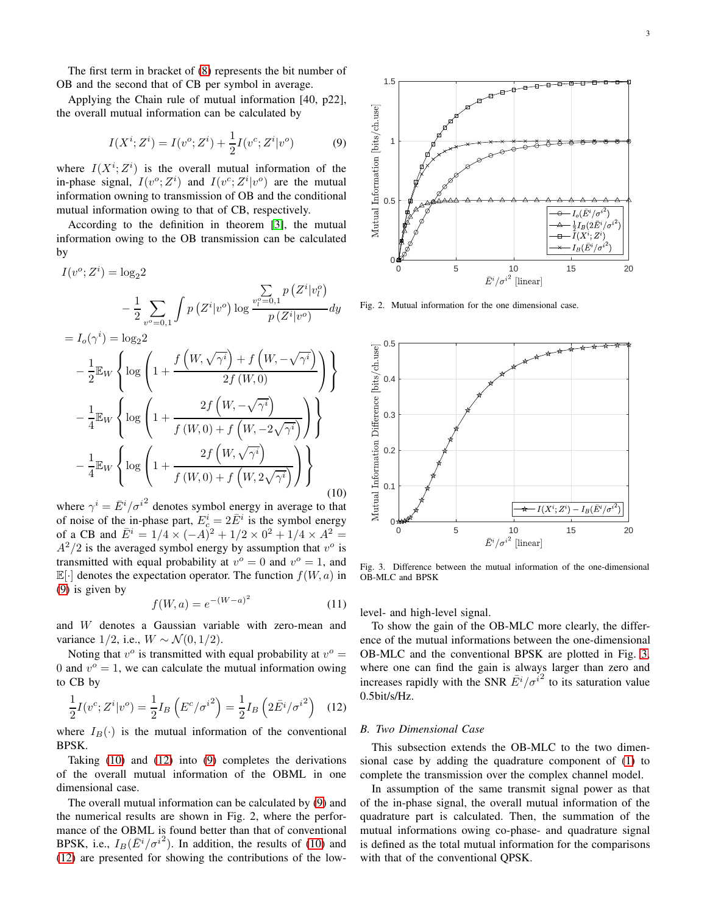The first term in bracket of [\(8\)](#page-1-2) represents the bit number of OB and the second that of CB per symbol in average.

Applying the Chain rule of mutual information [40, p22], the overall mutual information can be calculated by

<span id="page-2-0"></span>
$$
I(X^{i}; Z^{i}) = I(v^{o}; Z^{i}) + \frac{1}{2}I(v^{c}; Z^{i}|v^{o})
$$
 (9)

where  $I(X^i; Z^i)$  is the overall mutual information of the in-phase signal,  $I(v^c; Z^i)$  and  $I(v^c; Z^i|v^o)$  are the mutual information owning to transmission of OB and the conditional mutual information owing to that of CB, respectively.

According to the definition in theorem [\[3\]](#page-4-2), the mutual information owing to the OB transmission can be calculated by

<span id="page-2-1"></span>
$$
I(v^{o}; Z^{i}) = \log_{2} 2
$$
  
\n
$$
-\frac{1}{2} \sum_{v^{o}=0,1} \int p(Z^{i}|v^{o}) \log \frac{\sum_{v_{i}^{o}=0,1} p(Z^{i}|v_{i}^{o})}{p(Z^{i}|v^{o})} dy
$$
  
\n
$$
= I_{o}(\gamma^{i}) = \log_{2} 2
$$
  
\n
$$
-\frac{1}{2} \mathbb{E}_{W} \left\{ \log \left( 1 + \frac{f\left(W, \sqrt{\gamma^{i}}\right) + f\left(W, -\sqrt{\gamma^{i}}\right)}{2f\left(W, 0\right)} \right) \right\}
$$
  
\n
$$
-\frac{1}{4} \mathbb{E}_{W} \left\{ \log \left( 1 + \frac{2f\left(W, -\sqrt{\gamma^{i}}\right)}{f\left(W, 0\right) + f\left(W, -2\sqrt{\gamma^{i}}\right)} \right) \right\}
$$
  
\n
$$
-\frac{1}{4} \mathbb{E}_{W} \left\{ \log \left( 1 + \frac{2f\left(W, \sqrt{\gamma^{i}}\right)}{f\left(W, 0\right) + f\left(W, 2\sqrt{\gamma^{i}}\right)} \right) \right\}
$$
  
\n(10)

where  $\gamma^i = \bar{E}^i / \sigma^{i^2}$  denotes symbol energy in average to that of noise of the in-phase part,  $E_c^i = 2\overline{E}^i$  is the symbol energy of a CB and  $\bar{E}^i = 1/4 \times (-A)^2 + 1/2 \times 0^2 + 1/4 \times A^2 =$  $A^2/2$  is the averaged symbol energy by assumption that  $v^o$  is transmitted with equal probability at  $v^{\circ} = 0$  and  $v^{\circ} = 1$ , and  $\mathbb{E}[\cdot]$  denotes the expectation operator. The function  $f(W, a)$  in [\(9\)](#page-2-0) is given by

<span id="page-2-4"></span>
$$
f(W, a) = e^{-(W - a)^2}
$$
 (11)

and W denotes a Gaussian variable with zero-mean and variance  $1/2$ , i.e.,  $W \sim \mathcal{N}(0, 1/2)$ .

Noting that  $v^o$  is transmitted with equal probability at  $v^o =$ 0 and  $v^{\circ} = 1$ , we can calculate the mutual information owing to CB by

<span id="page-2-2"></span>
$$
\frac{1}{2}I(v^c;Z^i|v^o) = \frac{1}{2}I_B\left(E^c/\sigma^{i^2}\right) = \frac{1}{2}I_B\left(2\bar{E}^i/\sigma^{i^2}\right) \quad (12)
$$

where  $I_B(\cdot)$  is the mutual information of the conventional BPSK.

Taking [\(10\)](#page-2-1) and [\(12\)](#page-2-2) into [\(9\)](#page-2-0) completes the derivations of the overall mutual information of the OBML in one dimensional case.

The overall mutual information can be calculated by [\(9\)](#page-2-0) and the numerical results are shown in Fig. 2, where the performance of the OBML is found better than that of conventional BPSK, i.e.,  $I_B(\bar{E}^i/\sigma^{i^2})$ . In addition, the results of [\(10\)](#page-2-1) and [\(12\)](#page-2-2) are presented for showing the contributions of the low-



Fig. 2. Mutual information for the one dimensional case.



<span id="page-2-3"></span>Fig. 3. Difference between the mutual information of the one-dimensional OB-MLC and BPSK

level- and high-level signal.

To show the gain of the OB-MLC more clearly, the difference of the mutual informations between the one-dimensional OB-MLC and the conventional BPSK are plotted in Fig. [3,](#page-2-3) where one can find the gain is always larger than zero and increases rapidly with the SNR  $\overline{E}^i/\sigma^{i^2}$  to its saturation value 0.5bit/s/Hz.

## *B. Two Dimensional Case*

This subsection extends the OB-MLC to the two dimensional case by adding the quadrature component of [\(1\)](#page-0-0) to complete the transmission over the complex channel model.

In assumption of the same transmit signal power as that of the in-phase signal, the overall mutual information of the quadrature part is calculated. Then, the summation of the mutual informations owing co-phase- and quadrature signal is defined as the total mutual information for the comparisons with that of the conventional QPSK.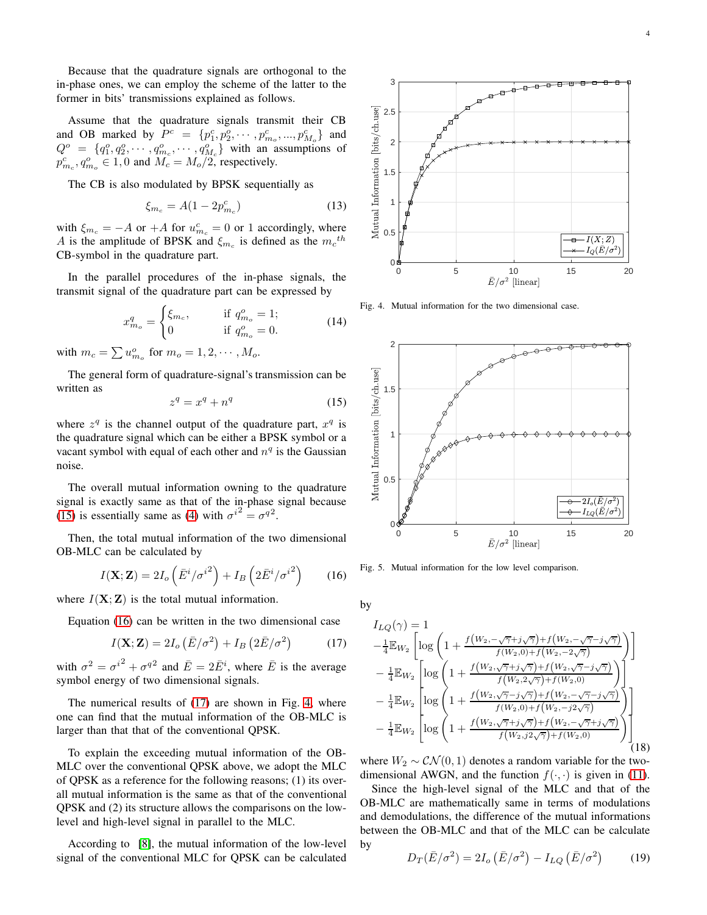Because that the quadrature signals are orthogonal to the in-phase ones, we can employ the scheme of the latter to the former in bits' transmissions explained as follows.

Assume that the quadrature signals transmit their CB and OB marked by  $P^c = \{p_1^c, p_2^o, \dots, p_{m_o}^c, ..., p_{M_o}^c\}$  and  $Q^o = \{q_1^o, q_2^o, \cdots, q_{m_c}^o, \cdots, q_{M_c}^o\}$  with an assumptions of  $p_{m_c}^c, q_{m_o}^o \in 1, 0$  and  $M_c = M_o/2$ , respectively.

The CB is also modulated by BPSK sequentially as

$$
\xi_{m_c} = A(1 - 2p_{m_c}^c) \tag{13}
$$

with  $\xi_{m_c} = -A$  or  $+A$  for  $u_{m_c}^c = 0$  or 1 accordingly, where A is the amplitude of BPSK and  $\xi_{m_c}$  is defined as the  $m_c$ <sup>th</sup> CB-symbol in the quadrature part.

In the parallel procedures of the in-phase signals, the transmit signal of the quadrature part can be expressed by

$$
x_{m_o}^q = \begin{cases} \xi_{m_c}, & \text{if } q_{m_o}^o = 1; \\ 0 & \text{if } q_{m_o}^o = 0. \end{cases}
$$
 (14)

with  $m_c = \sum u_{m_o}^o$  for  $m_o = 1, 2, \cdots, M_o$ .

The general form of quadrature-signal's transmission can be written as

<span id="page-3-0"></span>
$$
z^q = x^q + n^q \tag{15}
$$

where  $z^q$  is the channel output of the quadrature part,  $x^q$  is the quadrature signal which can be either a BPSK symbol or a vacant symbol with equal of each other and  $n<sup>q</sup>$  is the Gaussian noise.

The overall mutual information owning to the quadrature signal is exactly same as that of the in-phase signal because [\(15\)](#page-3-0) is essentially same as [\(4\)](#page-1-3) with  $\sigma^{i^2} = \sigma^{q^2}$ .

Then, the total mutual information of the two dimensional OB-MLC can be calculated by

<span id="page-3-1"></span>
$$
I(\mathbf{X}; \mathbf{Z}) = 2I_o \left( \bar{E}^i / \sigma^{i^2} \right) + I_B \left( 2 \bar{E}^i / \sigma^{i^2} \right) \tag{16}
$$

where  $I(X; Z)$  is the total mutual information.

Equation [\(16\)](#page-3-1) can be written in the two dimensional case

<span id="page-3-2"></span>
$$
I(\mathbf{X}; \mathbf{Z}) = 2I_o \left( \bar{E} / \sigma^2 \right) + I_B \left( 2\bar{E} / \sigma^2 \right) \tag{17}
$$

with  $\sigma^2 = {\sigma^i}^2 + {\sigma^q}^2$  and  $\bar{E} = 2\bar{E}^i$ , where  $\bar{E}$  is the average symbol energy of two dimensional signals.

The numerical results of [\(17\)](#page-3-2) are shown in Fig. [4,](#page-3-3) where one can find that the mutual information of the OB-MLC is larger than that that of the conventional QPSK.

To explain the exceeding mutual information of the OB-MLC over the conventional QPSK above, we adopt the MLC of QPSK as a reference for the following reasons; (1) its overall mutual information is the same as that of the conventional QPSK and (2) its structure allows the comparisons on the lowlevel and high-level signal in parallel to the MLC.

According to [\[8\]](#page-4-3), the mutual information of the low-level signal of the conventional MLC for QPSK can be calculated



<span id="page-3-3"></span>Fig. 4. Mutual information for the two dimensional case.



Fig. 5. Mutual information for the low level comparison.

by

$$
I_{LQ}(\gamma) = 1
$$
  
\n
$$
- \frac{1}{4} \mathbb{E}_{W_2} \left[ \log \left( 1 + \frac{f(W_2, -\sqrt{\gamma} + j\sqrt{\gamma}) + f(W_2, -\sqrt{\gamma} - j\sqrt{\gamma})}{f(W_2, 0) + f(W_2, -2\sqrt{\gamma})} \right) \right]
$$
  
\n
$$
- \frac{1}{4} \mathbb{E}_{W_2} \left[ \log \left( 1 + \frac{f(W_2, \sqrt{\gamma} + j\sqrt{\gamma}) + f(W_2, \sqrt{\gamma} - j\sqrt{\gamma})}{f(W_2, 2\sqrt{\gamma}) + f(W_2, 0)} \right) \right]
$$
  
\n
$$
- \frac{1}{4} \mathbb{E}_{W_2} \left[ \log \left( 1 + \frac{f(W_2, \sqrt{\gamma} - j\sqrt{\gamma}) + f(W_2, -\sqrt{\gamma} - j\sqrt{\gamma})}{f(W_2, 0) + f(W_2, -j2\sqrt{\gamma})} \right) \right]
$$
  
\n
$$
- \frac{1}{4} \mathbb{E}_{W_2} \left[ \log \left( 1 + \frac{f(W_2, \sqrt{\gamma} + j\sqrt{\gamma}) + f(W_2, -\sqrt{\gamma} + j\sqrt{\gamma})}{f(W_2, j2\sqrt{\gamma}) + f(W_2, 0)} \right) \right]
$$
  
\n(18)

where  $W_2 \sim \mathcal{CN}(0, 1)$  denotes a random variable for the twodimensional AWGN, and the function  $f(\cdot, \cdot)$  is given in [\(11\)](#page-2-4).

Since the high-level signal of the MLC and that of the OB-MLC are mathematically same in terms of modulations and demodulations, the difference of the mutual informations between the OB-MLC and that of the MLC can be calculate by

<span id="page-3-4"></span>
$$
D_T(\bar{E}/\sigma^2) = 2I_o(\bar{E}/\sigma^2) - I_{LQ}(\bar{E}/\sigma^2)
$$
 (19)